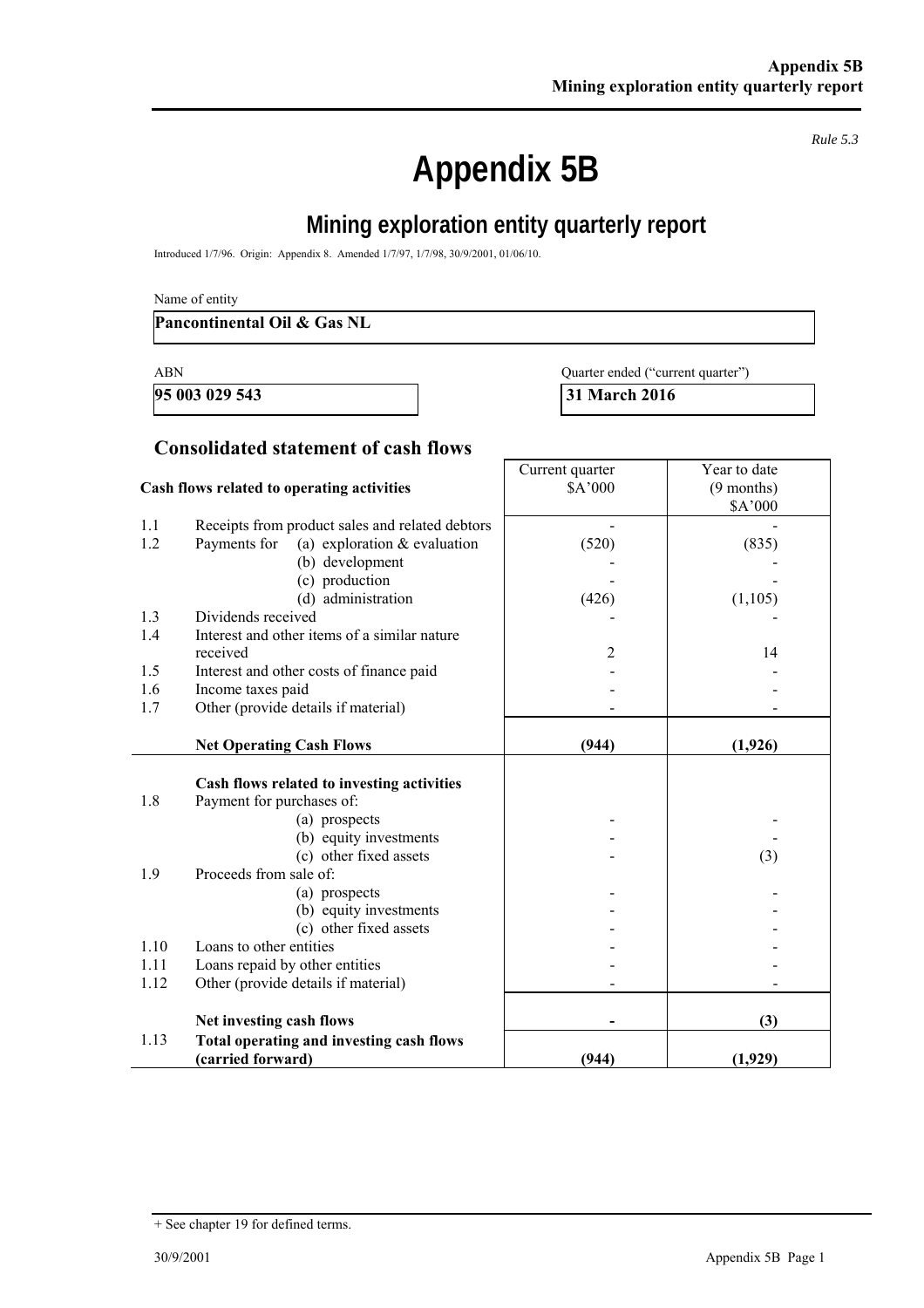*Rule 5.3* 

# **Appendix 5B**

# **Mining exploration entity quarterly report**

Introduced 1/7/96. Origin: Appendix 8. Amended 1/7/97, 1/7/98, 30/9/2001, 01/06/10.

#### **Pancontinental Oil & Gas NL**

**95 003 029 543 31 March 2016** 

| ABN |  | Quarter ended ("current quarter") |  |
|-----|--|-----------------------------------|--|
|     |  |                                   |  |

## **Consolidated statement of cash flows**

|      | Cash flows related to operating activities      | Current quarter<br>\$A'000 | Year to date<br>$(9$ months)<br>\$A'000 |
|------|-------------------------------------------------|----------------------------|-----------------------------------------|
| 1.1  | Receipts from product sales and related debtors |                            |                                         |
| 1.2  | Payments for<br>(a) exploration $&$ evaluation  | (520)                      | (835)                                   |
|      | (b) development                                 |                            |                                         |
|      | (c) production                                  |                            |                                         |
|      | (d) administration                              | (426)                      | (1, 105)                                |
| 1.3  | Dividends received                              |                            |                                         |
| 1.4  | Interest and other items of a similar nature    |                            |                                         |
|      | received                                        | 2                          | 14                                      |
| 1.5  | Interest and other costs of finance paid        |                            |                                         |
| 1.6  | Income taxes paid                               |                            |                                         |
| 1.7  | Other (provide details if material)             |                            |                                         |
|      | <b>Net Operating Cash Flows</b>                 | (944)                      | (1,926)                                 |
|      | Cash flows related to investing activities      |                            |                                         |
| 1.8  | Payment for purchases of:                       |                            |                                         |
|      | (a) prospects                                   |                            |                                         |
|      | (b) equity investments                          |                            |                                         |
|      | (c) other fixed assets                          |                            | (3)                                     |
| 1.9  | Proceeds from sale of:                          |                            |                                         |
|      | (a) prospects                                   |                            |                                         |
|      | (b) equity investments                          |                            |                                         |
|      | (c) other fixed assets                          |                            |                                         |
| 1.10 | Loans to other entities                         |                            |                                         |
| 1.11 | Loans repaid by other entities                  |                            |                                         |
| 1.12 | Other (provide details if material)             |                            |                                         |
|      | Net investing cash flows                        |                            | (3)                                     |
| 1.13 | Total operating and investing cash flows        |                            |                                         |
|      | (carried forward)                               | (944)                      | (1,929)                                 |

<sup>+</sup> See chapter 19 for defined terms.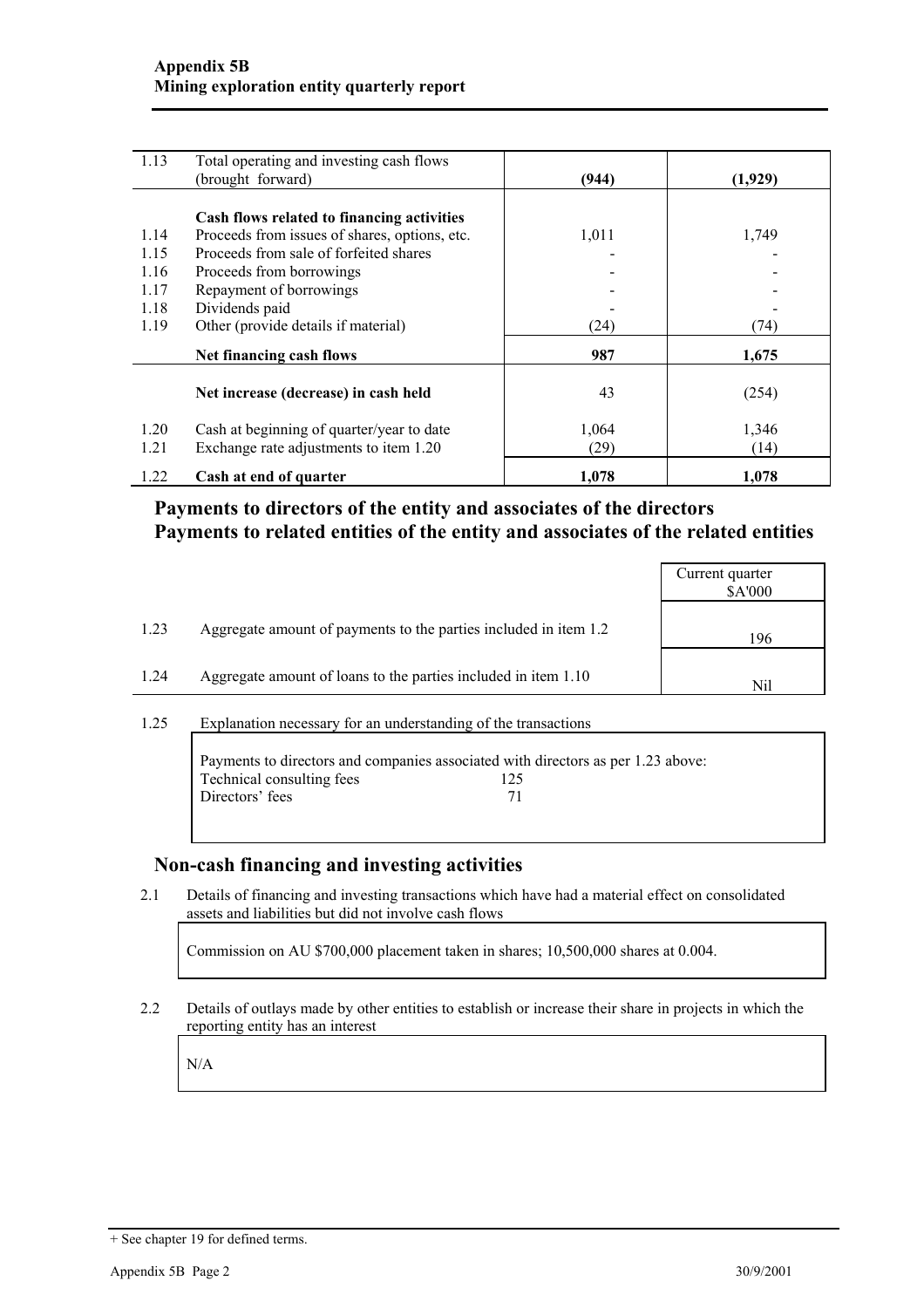| 1.13 | Total operating and investing cash flows      |       |         |
|------|-----------------------------------------------|-------|---------|
|      | (brought forward)                             | (944) | (1,929) |
|      |                                               |       |         |
|      | Cash flows related to financing activities    |       |         |
| 1.14 | Proceeds from issues of shares, options, etc. | 1,011 | 1,749   |
| 1.15 | Proceeds from sale of forfeited shares        |       |         |
| 1.16 | Proceeds from borrowings                      |       |         |
| 1.17 | Repayment of borrowings                       |       |         |
| 1.18 | Dividends paid                                |       |         |
| 1.19 | Other (provide details if material)           | (24)  | (74)    |
|      | Net financing cash flows                      | 987   | 1,675   |
|      | Net increase (decrease) in cash held          | 43    | (254)   |
|      |                                               |       |         |
| 1.20 | Cash at beginning of quarter/year to date     | 1,064 | 1,346   |
| 1.21 | Exchange rate adjustments to item 1.20        | (29)  | (14)    |
| 1.22 | Cash at end of quarter                        | 1,078 | 1,078   |

## **Payments to directors of the entity and associates of the directors Payments to related entities of the entity and associates of the related entities**

|      |                                                                  | Current quarter<br>\$A'000 |
|------|------------------------------------------------------------------|----------------------------|
| 1.23 | Aggregate amount of payments to the parties included in item 1.2 | 196                        |
| 1.24 | Aggregate amount of loans to the parties included in item 1.10   | Nil                        |
|      |                                                                  |                            |

#### 1.25 Explanation necessary for an understanding of the transactions

|                           | Payments to directors and companies associated with directors as per 1.23 above: |
|---------------------------|----------------------------------------------------------------------------------|
| Technical consulting fees | 125                                                                              |
| Directors' fees           | 71                                                                               |
|                           |                                                                                  |

## **Non-cash financing and investing activities**

2.1 Details of financing and investing transactions which have had a material effect on consolidated assets and liabilities but did not involve cash flows

Commission on AU \$700,000 placement taken in shares; 10,500,000 shares at 0.004.

2.2 Details of outlays made by other entities to establish or increase their share in projects in which the reporting entity has an interest

N/A

<sup>+</sup> See chapter 19 for defined terms.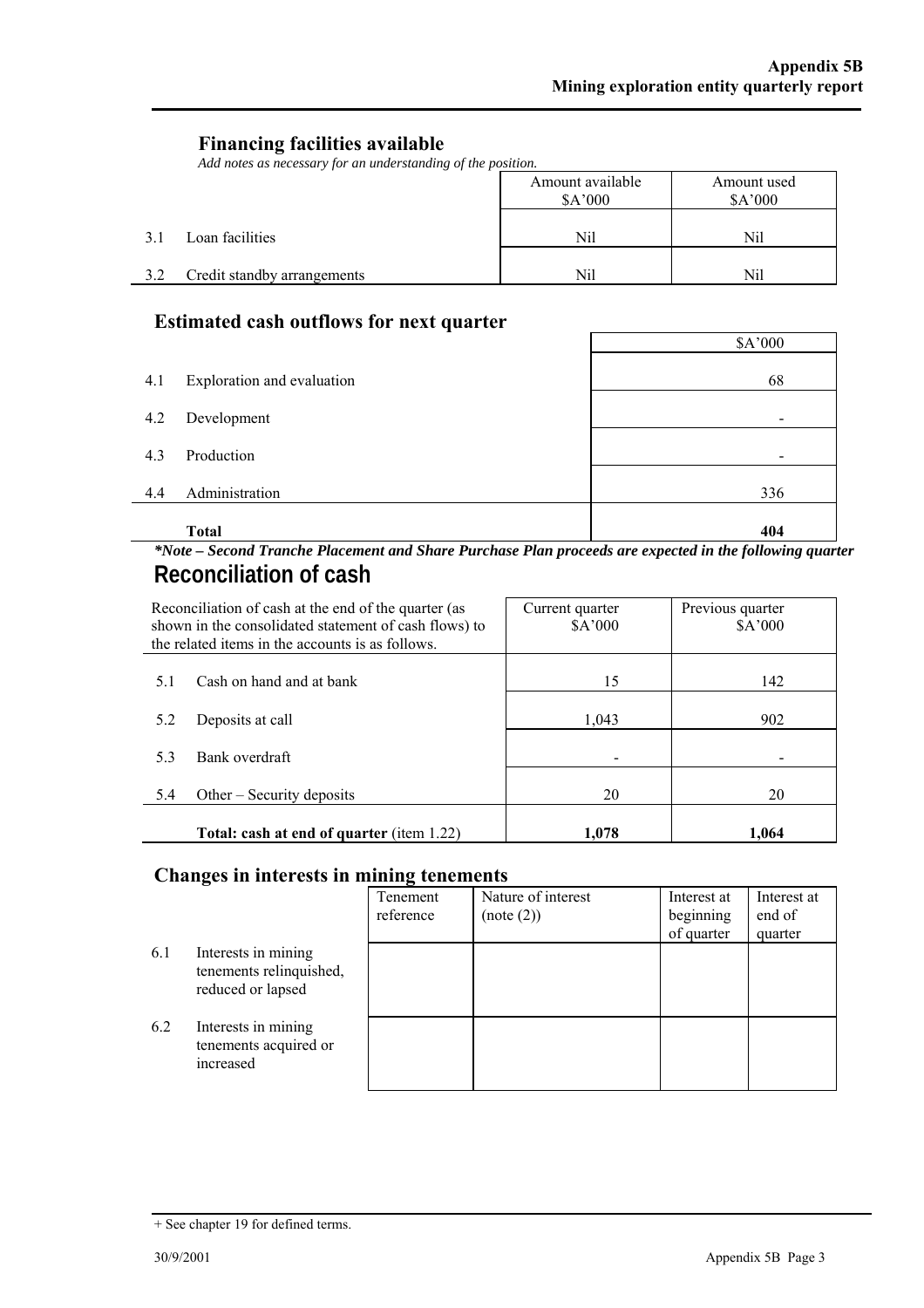## **Financing facilities available**

*Add notes as necessary for an understanding of the position.* 

|     |                             | Amount available<br>\$A'000 | Amount used<br>\$A'000 |
|-----|-----------------------------|-----------------------------|------------------------|
| 3.1 | Loan facilities             | Nil                         | Nil                    |
| 3.2 | Credit standby arrangements | Nil                         | Nil                    |

## **Estimated cash outflows for next quarter**

|     | $\blacksquare$             | \$A'000                  |
|-----|----------------------------|--------------------------|
| 4.1 | Exploration and evaluation | 68                       |
| 4.2 | Development                |                          |
| 4.3 | Production                 | $\overline{\phantom{a}}$ |
| 4.4 | Administration             | 336                      |
|     | <b>Total</b>               | 404                      |

 $\mathsf{r}$ 

## *\*Note – Second Tranche Placement and Share Purchase Plan proceeds are expected in the following quarter*  **Reconciliation of cash**

|     | Reconciliation of cash at the end of the quarter (as<br>shown in the consolidated statement of cash flows) to<br>the related items in the accounts is as follows. | Current quarter<br>A'000 | Previous quarter<br>\$A'000 |
|-----|-------------------------------------------------------------------------------------------------------------------------------------------------------------------|--------------------------|-----------------------------|
| 5.1 | Cash on hand and at bank                                                                                                                                          | 15                       | 142                         |
| 5.2 | Deposits at call                                                                                                                                                  | 1,043                    | 902                         |
| 5.3 | Bank overdraft                                                                                                                                                    |                          |                             |
| 5.4 | Other $-$ Security deposits                                                                                                                                       | 20                       | 20                          |
|     | Total: cash at end of quarter (item 1.22)                                                                                                                         | 1.078                    | 1.064                       |

## **Changes in interests in mining tenements**

|     |                                                                     | Tenement<br>reference | Nature of interest<br>(note (2)) | Interest at<br>beginning<br>of quarter | Interest at<br>end of<br>quarter |
|-----|---------------------------------------------------------------------|-----------------------|----------------------------------|----------------------------------------|----------------------------------|
| 6.1 | Interests in mining<br>tenements relinquished,<br>reduced or lapsed |                       |                                  |                                        |                                  |
| 6.2 | Interests in mining<br>tenements acquired or<br>increased           |                       |                                  |                                        |                                  |

<sup>+</sup> See chapter 19 for defined terms.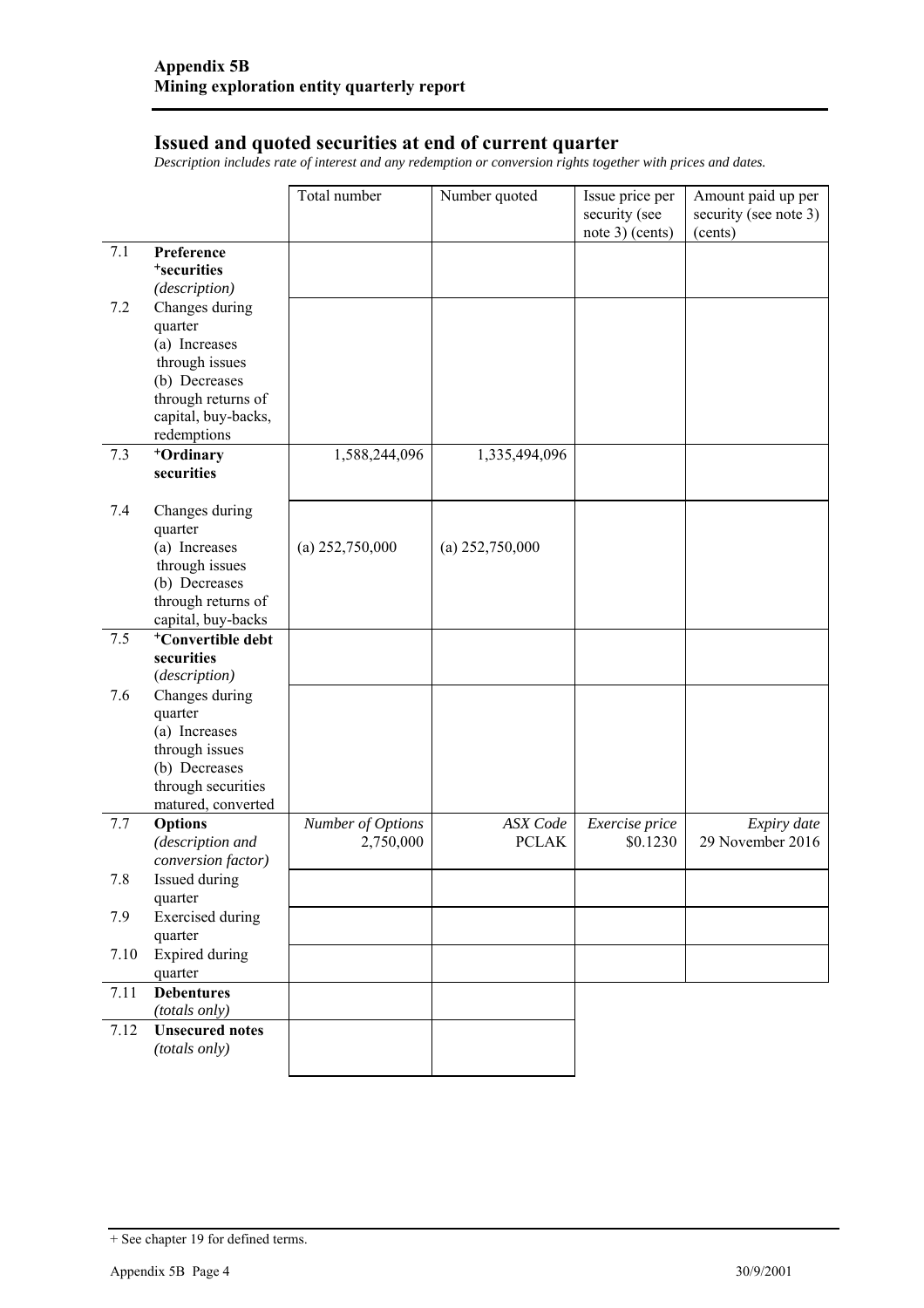#### **Issued and quoted securities at end of current quarter**

*Description includes rate of interest and any redemption or conversion rights together with prices and dates.* 

|         |                                         | Total number      | Number quoted     | Issue price per<br>security (see<br>note 3) (cents) | Amount paid up per<br>security (see note 3)<br>(cents) |
|---------|-----------------------------------------|-------------------|-------------------|-----------------------------------------------------|--------------------------------------------------------|
| 7.1     | Preference                              |                   |                   |                                                     |                                                        |
|         | <sup>+</sup> securities                 |                   |                   |                                                     |                                                        |
|         | (description)                           |                   |                   |                                                     |                                                        |
| 7.2     | Changes during                          |                   |                   |                                                     |                                                        |
|         | quarter                                 |                   |                   |                                                     |                                                        |
|         | (a) Increases<br>through issues         |                   |                   |                                                     |                                                        |
|         | (b) Decreases                           |                   |                   |                                                     |                                                        |
|         | through returns of                      |                   |                   |                                                     |                                                        |
|         | capital, buy-backs,                     |                   |                   |                                                     |                                                        |
|         | redemptions                             |                   |                   |                                                     |                                                        |
| 7.3     | +Ordinary                               | 1,588,244,096     | 1,335,494,096     |                                                     |                                                        |
|         | securities                              |                   |                   |                                                     |                                                        |
| 7.4     | Changes during                          |                   |                   |                                                     |                                                        |
|         | quarter                                 |                   |                   |                                                     |                                                        |
|         | (a) Increases                           | $(a)$ 252,750,000 | (a) $252,750,000$ |                                                     |                                                        |
|         | through issues<br>(b) Decreases         |                   |                   |                                                     |                                                        |
|         | through returns of                      |                   |                   |                                                     |                                                        |
|         | capital, buy-backs                      |                   |                   |                                                     |                                                        |
| 7.5     | <sup>+</sup> Convertible debt           |                   |                   |                                                     |                                                        |
|         | securities                              |                   |                   |                                                     |                                                        |
|         | (description)                           |                   |                   |                                                     |                                                        |
| 7.6     | Changes during                          |                   |                   |                                                     |                                                        |
|         | quarter<br>(a) Increases                |                   |                   |                                                     |                                                        |
|         | through issues                          |                   |                   |                                                     |                                                        |
|         | (b) Decreases                           |                   |                   |                                                     |                                                        |
|         | through securities                      |                   |                   |                                                     |                                                        |
|         | matured, converted                      |                   |                   |                                                     |                                                        |
| 7.7     | Options                                 | Number of Options | <b>ASX</b> Code   | Exercise price                                      | Expiry date                                            |
|         | (description and                        | 2,750,000         | <b>PCLAK</b>      | \$0.1230                                            | 29 November 2016                                       |
| $7.8\,$ | conversion factor)<br>Issued during     |                   |                   |                                                     |                                                        |
|         | quarter                                 |                   |                   |                                                     |                                                        |
| 7.9     | <b>Exercised</b> during                 |                   |                   |                                                     |                                                        |
|         | quarter                                 |                   |                   |                                                     |                                                        |
| 7.10    | <b>Expired during</b>                   |                   |                   |                                                     |                                                        |
|         | quarter                                 |                   |                   |                                                     |                                                        |
| 7.11    | <b>Debentures</b>                       |                   |                   |                                                     |                                                        |
|         | (totals only)                           |                   |                   |                                                     |                                                        |
| 7.12    | <b>Unsecured</b> notes<br>(totals only) |                   |                   |                                                     |                                                        |
|         |                                         |                   |                   |                                                     |                                                        |

<sup>+</sup> See chapter 19 for defined terms.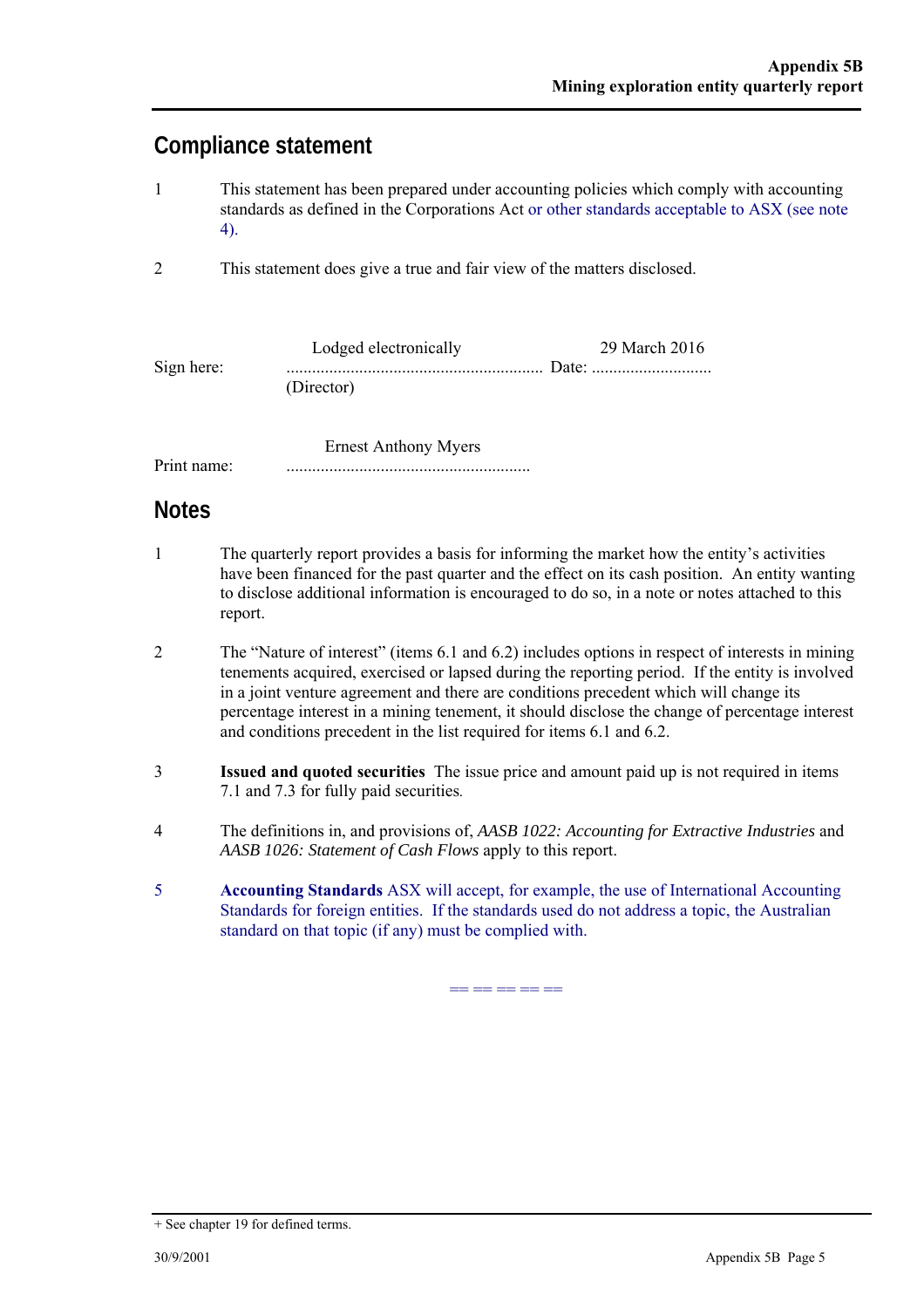## **Compliance statement**

- 1 This statement has been prepared under accounting policies which comply with accounting standards as defined in the Corporations Act or other standards acceptable to ASX (see note 4).
- 2 This statement does give a true and fair view of the matters disclosed.

|            | Lodged electronically | 29 March 2016 |
|------------|-----------------------|---------------|
| Sign here: |                       |               |
|            | (Director)            |               |

 Ernest Anthony Myers Print name: .........................................................

## **Notes**

- 1 The quarterly report provides a basis for informing the market how the entity's activities have been financed for the past quarter and the effect on its cash position. An entity wanting to disclose additional information is encouraged to do so, in a note or notes attached to this report.
- 2 The "Nature of interest" (items 6.1 and 6.2) includes options in respect of interests in mining tenements acquired, exercised or lapsed during the reporting period. If the entity is involved in a joint venture agreement and there are conditions precedent which will change its percentage interest in a mining tenement, it should disclose the change of percentage interest and conditions precedent in the list required for items 6.1 and 6.2.
- 3 **Issued and quoted securities** The issue price and amount paid up is not required in items 7.1 and 7.3 for fully paid securities*.*
- 4 The definitions in, and provisions of, *AASB 1022: Accounting for Extractive Industries* and *AASB 1026: Statement of Cash Flows* apply to this report.
- 5 **Accounting Standards** ASX will accept, for example, the use of International Accounting Standards for foreign entities. If the standards used do not address a topic, the Australian standard on that topic (if any) must be complied with.

== == == == ==

<sup>+</sup> See chapter 19 for defined terms.